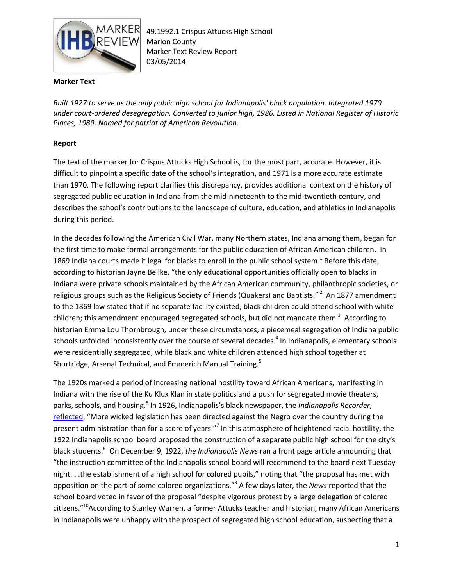

49.1992.1 Crispus Attucks High School Marion County Marker Text Review Report 03/05/2014

## **Marker Text**

*Built 1927 to serve as the only public high school for Indianapolis' black population. Integrated 1970 under court-ordered desegregation. Converted to junior high, 1986. Listed in National Register of Historic Places, 1989. Named for patriot of American Revolution.*

## **Report**

The text of the marker for Crispus Attucks High School is, for the most part, accurate. However, it is difficult to pinpoint a specific date of the school's integration, and 1971 is a more accurate estimate than 1970. The following report clarifies this discrepancy, provides additional context on the history of segregated public education in Indiana from the mid-nineteenth to the mid-twentieth century, and describes the school's contributions to the landscape of culture, education, and athletics in Indianapolis during this period.

In the decades following the American Civil War, many Northern states, Indiana among them, began for the first time to make formal arrangements for the public education of African American children. In 1869 Indiana courts made it legal for blacks to enroll in the public school system.<sup>1</sup> Before this date, according to historian Jayne Beilke, "the only educational opportunities officially open to blacks in Indiana were private schools maintained by the African American community, philanthropic societies, or religious groups such as the Religious Society of Friends (Quakers) and Baptists." <sup>2</sup> An 1877 amendment to the 1869 law stated that if no separate facility existed, black children could attend school with white children; this amendment encouraged segregated schools, but did not mandate them.<sup>3</sup> According to historian Emma Lou Thornbrough, under these circumstances, a piecemeal segregation of Indiana public schools unfolded inconsistently over the course of several decades.<sup>4</sup> In Indianapolis, elementary schools were residentially segregated, while black and white children attended high school together at Shortridge, Arsenal Technical, and Emmerich Manual Training.<sup>5</sup>

The 1920s marked a period of increasing national hostility toward African Americans, manifesting in Indiana with the rise of the Ku Klux Klan in state politics and a push for segregated movie theaters, parks, schools, and housing.<sup>6</sup> In 1926, Indianapolis's black newspaper, the *Indianapolis Recorder*, [reflected](http://indiamond6.ulib.iupui.edu/cdm/compoundobject/collection/IRecorder/id/37543/rec/11), "More wicked legislation has been directed against the Negro over the country during the present administration than for a score of years."<sup>7</sup> In this atmosphere of heightened racial hostility, the 1922 Indianapolis school board proposed the construction of a separate public high school for the city's black students.<sup>8</sup> On December 9, 1922, *the Indianapolis News* ran a front page article announcing that "the instruction committee of the Indianapolis school board will recommend to the board next Tuesday night. . .the establishment of a high school for colored pupils," noting that "the proposal has met with opposition on the part of some colored organizations."<sup>9</sup> A few days later, the *News* reported that the school board voted in favor of the proposal "despite vigorous protest by a large delegation of colored citizens."<sup>10</sup>According to Stanley Warren, a former Attucks teacher and historian, many African Americans in Indianapolis were unhappy with the prospect of segregated high school education, suspecting that a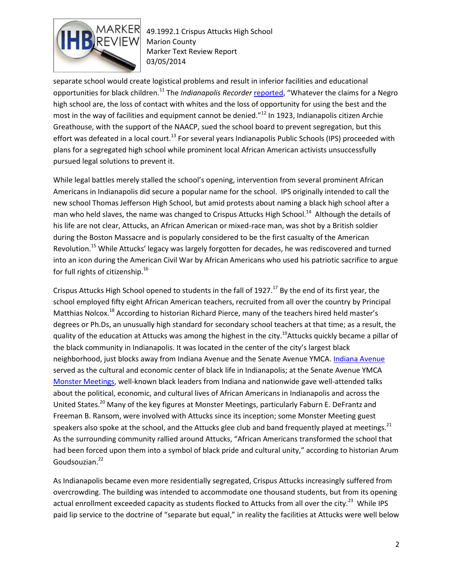

49.1992.1 Crispus Attucks High School Marion County Marker Text Review Report 03/05/2014

separate school would create logistical problems and result in inferior facilities and educational opportunities for black children.<sup>11</sup> The *Indianapolis Recorder* [reported](http://indiamond6.ulib.iupui.edu/cdm/compoundobject/collection/IRecorder/id/38912/rec/30), "Whatever the claims for a Negro high school are, the loss of contact with whites and the loss of opportunity for using the best and the most in the way of facilities and equipment cannot be denied."<sup>12</sup> In 1923, Indianapolis citizen Archie Greathouse, with the support of the NAACP, sued the school board to prevent segregation, but this effort was defeated in a local court.<sup>13</sup> For several years Indianapolis Public Schools (IPS) proceeded with plans for a segregated high school while prominent local African American activists unsuccessfully pursued legal solutions to prevent it.

While legal battles merely stalled the school's opening, intervention from several prominent African Americans in Indianapolis did secure a popular name for the school. IPS originally intended to call the new school Thomas Jefferson High School, but amid protests about naming a black high school after a man who held slaves, the name was changed to Crispus Attucks High School.<sup>14</sup> Although the details of his life are not clear, Attucks, an African American or mixed-race man, was shot by a British soldier during the Boston Massacre and is popularly considered to be the first casualty of the American Revolution.<sup>15</sup> While Attucks' legacy was largely forgotten for decades, he was rediscovered and turned into an icon during the American Civil War by African Americans who used his patriotic sacrifice to argue for full rights of citizenship. $16$ 

Crispus Attucks High School opened to students in the fall of 1927.<sup>17</sup> By the end of its first year, the school employed fifty eight African American teachers, recruited from all over the country by Principal Matthias Nolcox.<sup>18</sup> According to historian Richard Pierce, many of the teachers hired held master's degrees or Ph.Ds, an unusually high standard for secondary school teachers at that time; as a result, the quality of the education at Attucks was among the highest in the city.<sup>19</sup>Attucks quickly became a pillar of the black community in Indianapolis. It was located in the center of the city's largest black neighborhood, just blocks away from Indiana Avenue and the Senate Avenue YMCA[. Indiana Avenue](http://www.npr.org/blogs/ablogsupreme/2012/03/27/149474702/the-once-thriving-jazz-scene-of-indianapolis) served as the cultural and economic center of black life in Indianapolis; at the Senate Avenue YMCA [Monster Meetings,](http://indianapublicmedia.org/momentofindianahistory/monster-meetings/) well-known black leaders from Indiana and nationwide gave well-attended talks about the political, economic, and cultural lives of African Americans in Indianapolis and across the United States.<sup>20</sup> Many of the key figures at Monster Meetings, particularly Faburn E. DeFrantz and Freeman B. Ransom, were involved with Attucks since its inception; some Monster Meeting guest speakers also spoke at the school, and the Attucks glee club and band frequently played at meetings.<sup>21</sup> As the surrounding community rallied around Attucks, "African Americans transformed the school that had been forced upon them into a symbol of black pride and cultural unity," according to historian Arum Goudsouzian.<sup>22</sup>

As Indianapolis became even more residentially segregated, Crispus Attucks increasingly suffered from overcrowding. The building was intended to accommodate one thousand students, but from its opening actual enrollment exceeded capacity as students flocked to Attucks from all over the city.<sup>23</sup> While IPS paid lip service to the doctrine of "separate but equal," in reality the facilities at Attucks were well below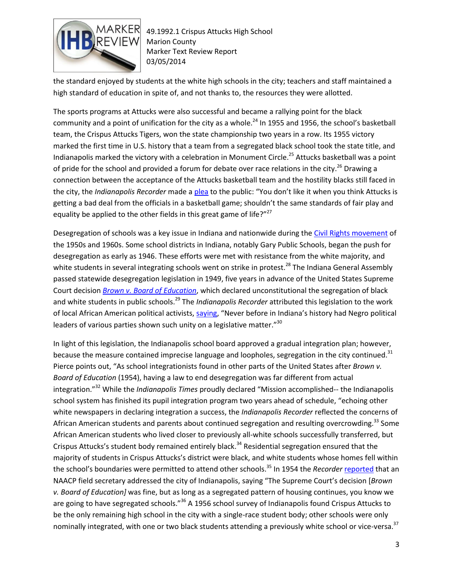

49.1992.1 Crispus Attucks High School Marion County Marker Text Review Report 03/05/2014

the standard enjoyed by students at the white high schools in the city; teachers and staff maintained a high standard of education in spite of, and not thanks to, the resources they were allotted.

The sports programs at Attucks were also successful and became a rallying point for the black community and a point of unification for the city as a whole.<sup>24</sup> In 1955 and 1956, the school's basketball team, the Crispus Attucks Tigers, won the state championship two years in a row. Its 1955 victory marked the first time in U.S. history that a team from a segregated black school took the state title, and Indianapolis marked the victory with a celebration in Monument Circle.<sup>25</sup> Attucks basketball was a point of pride for the school and provided a forum for debate over race relations in the city.<sup>26</sup> Drawing a connection between the acceptance of the Attucks basketball team and the hostility blacks still faced in the city, the *Indianapolis Recorder* made [a plea](http://indiamond6.ulib.iupui.edu/cdm/compoundobject/collection/IRecorder/id/85371/rec/11) to the public: "You don't like it when you think Attucks is getting a bad deal from the officials in a basketball game; shouldn't the same standards of fair play and equality be applied to the other fields in this great game of life?"27

Desegregation of schools was a key issue in Indiana and nationwide during th[e Civil Rights movement](http://memory.loc.gov/ammem/aaohtml/exhibit/aopart9.html) of the 1950s and 1960s. Some school districts in Indiana, notably Gary Public Schools, began the push for desegregation as early as 1946. These efforts were met with resistance from the white majority, and white students in several integrating schools went on strike in protest.<sup>28</sup> The Indiana General Assembly passed statewide desegregation legislation in 1949, five years in advance of the United States Supreme Court decision *[Brown v. Board of Education](http://www.archives.gov/education/lessons/brown-v-board/)*, which declared unconstitutional the segregation of black and white students in public schools.<sup>29</sup> The *Indianapolis Recorder* attributed this legislation to the work of local African American political activists, [saying](http://indiamond6.ulib.iupui.edu/cdm/compoundobject/collection/IRecorder/id/87771/rec/10), "Never before in Indiana's history had Negro political leaders of various parties shown such unity on a legislative matter."<sup>30</sup>

In light of this legislation, the Indianapolis school board approved a gradual integration plan; however, because the measure contained imprecise language and loopholes, segregation in the city continued.<sup>31</sup> Pierce points out, "As school integrationists found in other parts of the United States after *Brown v. Board of Education* (1954), having a law to end desegregation was far different from actual integration."<sup>32</sup> While the *Indianapolis Times* proudly declared "Mission accomplished-- the Indianapolis school system has finished its pupil integration program two years ahead of schedule, "echoing other white newspapers in declaring integration a success, the *Indianapolis Recorder* reflected the concerns of African American students and parents about continued segregation and resulting overcrowding.<sup>33</sup> Some African American students who lived closer to previously all-white schools successfully transferred, but Crispus Attucks's student body remained entirely black.<sup>34</sup> Residential segregation ensured that the majority of students in Crispus Attucks's district were black, and white students whose homes fell within the school's boundaries were permitted to attend other schools.<sup>35</sup> In 1954 the *Recorder* [reported](http://indiamond6.ulib.iupui.edu/cdm/compoundobject/collection/IRecorder/id/33594/rec/30) that an NAACP field secretary addressed the city of Indianapolis, saying "The Supreme Court's decision [*Brown v. Board of Education]* was fine, but as long as a segregated pattern of housing continues, you know we are going to have segregated schools."<sup>36</sup> A 1956 school survey of Indianapolis found Crispus Attucks to be the only remaining high school in the city with a single-race student body; other schools were only nominally integrated, with one or two black students attending a previously white school or vice-versa.<sup>37</sup>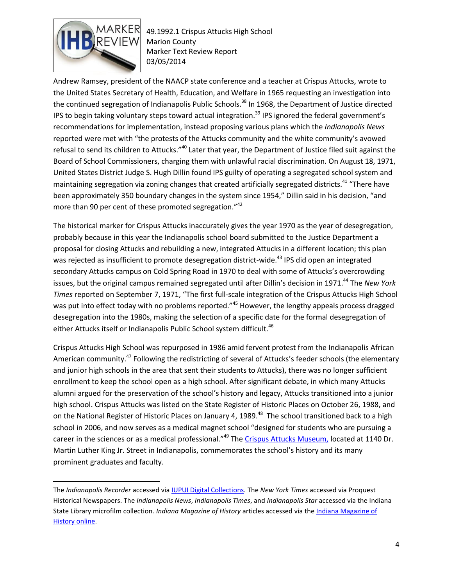

 $\overline{a}$ 

49.1992.1 Crispus Attucks High School Marion County Marker Text Review Report 03/05/2014

Andrew Ramsey, president of the NAACP state conference and a teacher at Crispus Attucks, wrote to the United States Secretary of Health, Education, and Welfare in 1965 requesting an investigation into the continued segregation of Indianapolis Public Schools.<sup>38</sup> In 1968, the Department of Justice directed IPS to begin taking voluntary steps toward actual integration.<sup>39</sup> IPS ignored the federal government's recommendations for implementation, instead proposing various plans which the *Indianapolis News*  reported were met with "the protests of the Attucks community and the white community's avowed refusal to send its children to Attucks."<sup>40</sup> Later that year, the Department of Justice filed suit against the Board of School Commissioners, charging them with unlawful racial discrimination. On August 18, 1971, United States District Judge S. Hugh Dillin found IPS guilty of operating a segregated school system and maintaining segregation via zoning changes that created artificially segregated districts.<sup>41</sup> "There have been approximately 350 boundary changes in the system since 1954," Dillin said in his decision, "and more than 90 per cent of these promoted segregation."<sup>42</sup>

The historical marker for Crispus Attucks inaccurately gives the year 1970 as the year of desegregation, probably because in this year the Indianapolis school board submitted to the Justice Department a proposal for closing Attucks and rebuilding a new, integrated Attucks in a different location; this plan was rejected as insufficient to promote desegregation district-wide.<sup>43</sup> IPS did open an integrated secondary Attucks campus on Cold Spring Road in 1970 to deal with some of Attucks's overcrowding issues, but the original campus remained segregated until after Dillin's decision in 1971.<sup>44</sup> The New York *Times* reported on September 7, 1971, "The first full-scale integration of the Crispus Attucks High School was put into effect today with no problems reported."<sup>45</sup> However, the lengthy appeals process dragged desegregation into the 1980s, making the selection of a specific date for the formal desegregation of either Attucks itself or Indianapolis Public School system difficult.<sup>46</sup>

Crispus Attucks High School was repurposed in 1986 amid fervent protest from the Indianapolis African American community.<sup>47</sup> Following the redistricting of several of Attucks's feeder schools (the elementary and junior high schools in the area that sent their students to Attucks), there was no longer sufficient enrollment to keep the school open as a high school. After significant debate, in which many Attucks alumni argued for the preservation of the school's history and legacy, Attucks transitioned into a junior high school. Crispus Attucks was listed on the State Register of Historic Places on October 26, 1988, and on the National Register of Historic Places on January 4, 1989.<sup>48</sup> The school transitioned back to a high school in 2006, and now serves as a medical magnet school "designed for students who are pursuing a career in the sciences or as a medical professional."<sup>49</sup> The [Crispus Attucks Museum,](http://crispusattucksmuseum.ips.k12.in.us/general-information/) located at 1140 Dr. Martin Luther King Jr. Street in Indianapolis, commemorates the school's history and its many prominent graduates and faculty.

The *Indianapolis Recorder* accessed via [IUPUI Digital Collections.](http://ulib.iupui.edu/digitalscholarship/collections/IRecorder) The *New York Times* accessed via Proquest Historical Newspapers. The *Indianapolis News*, *Indianapolis Times*, and *Indianapolis Star* accessed via the Indiana State Library microfilm collection. *Indiana Magazine of History* articles accessed via th[e Indiana Magazine of](http://webapp1.dlib.indiana.edu/imh/)  [History online.](http://webapp1.dlib.indiana.edu/imh/)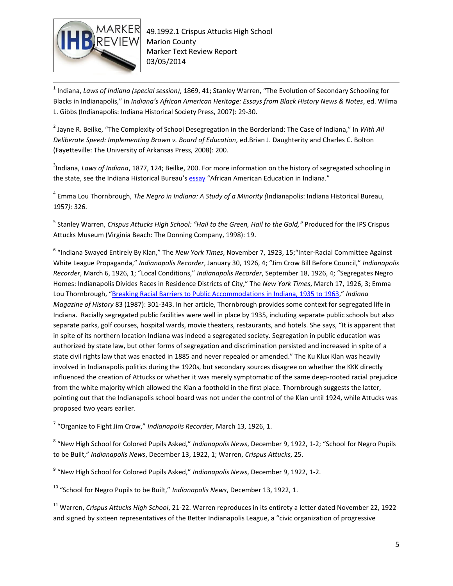

 $\overline{\phantom{a}}$ 1 Indiana, *Laws of Indiana (special session)*, 1869, 41; Stanley Warren, "The Evolution of Secondary Schooling for Blacks in Indianapolis," in *Indiana's African American Heritage: Essays from Black History News & Notes*, ed. Wilma L. Gibbs (Indianapolis: Indiana Historical Society Press, 2007): 29-30.

2 Jayne R. Beilke, "The Complexity of School Desegregation in the Borderland: The Case of Indiana," In *With All Deliberate Speed: Implementing Brown v. Board of Education,* ed.Brian J. Daughterity and Charles C. Bolton (Fayetteville: The University of Arkansas Press, 2008): 200.

3 Indiana, *Laws of Indiana*, 1877, 124; Beilke, 200. For more information on the history of segregated schooling in the state, see the Indiana Historical Bureau's [essay](file://iotnasp01pw.shared.state.in.us/IHB/Shared/Markers/Historical%20Marker%20Reviews/2011-2012%20marker%20review%20reports/African-American_Education_in_Indiana%5b1%5d.docx) "African American Education in Indiana."

4 Emma Lou Thornbrough, *The Negro in Indiana: A Study of a Minority (*Indianapolis: Indiana Historical Bureau, 1957*):* 326.

5 Stanley Warren, *Crispus Attucks High School: "Hail to the Green, Hail to the Gold,"* Produced for the IPS Crispus Attucks Museum (Virginia Beach: The Donning Company, 1998): 19.

6 "Indiana Swayed Entirely By Klan," The *New York Times*, November 7, 1923, 15;"Inter-Racial Committee Against White League Propaganda," *Indianapolis Recorder*, January 30, 1926, 4; "Jim Crow Bill Before Council," *Indianapolis Recorder*, March 6, 1926, 1; "Local Conditions," *Indianapolis Recorder*, September 18, 1926, 4; "Segregates Negro Homes: Indianapolis Divides Races in Residence Districts of City," The *New York Times*, March 17, 1926, 3; Emma Lou Thornbrough, "[Breaking Racial Barriers to Public Accommodations in Indiana, 1935 to 1963,](http://webapp1.dlib.indiana.edu/imh/view.do?docId=VAA4025-083-4-a01)" *Indiana Magazine of History* 83 (1987): 301-343. In her article, Thornbrough provides some context for segregated life in Indiana. Racially segregated public facilities were well in place by 1935, including separate public schools but also separate parks, golf courses, hospital wards, movie theaters, restaurants, and hotels. She says, "It is apparent that in spite of its northern location Indiana was indeed a segregated society. Segregation in public education was authorized by state law, but other forms of segregation and discrimination persisted and increased in spite of a state civil rights law that was enacted in 1885 and never repealed or amended." The Ku Klux Klan was heavily involved in Indianapolis politics during the 1920s, but secondary sources disagree on whether the KKK directly influenced the creation of Attucks or whether it was merely symptomatic of the same deep-rooted racial prejudice from the white majority which allowed the Klan a foothold in the first place. Thornbrough suggests the latter, pointing out that the Indianapolis school board was not under the control of the Klan until 1924, while Attucks was proposed two years earlier.

7 "Organize to Fight Jim Crow," *Indianapolis Recorder*, March 13, 1926, 1.

8 "New High School for Colored Pupils Asked," *Indianapolis News*, December 9, 1922, 1-2; "School for Negro Pupils to be Built," *Indianapolis News*, December 13, 1922, 1; Warren, *Crispus Attucks*, 25.

9 "New High School for Colored Pupils Asked," *Indianapolis News*, December 9, 1922, 1-2.

<sup>10</sup> "School for Negro Pupils to be Built," *Indianapolis News*, December 13, 1922, 1.

<sup>11</sup> Warren, *Crispus Attucks High School*, 21-22. Warren reproduces in its entirety a letter dated November 22, 1922 and signed by sixteen representatives of the Better Indianapolis League, a "civic organization of progressive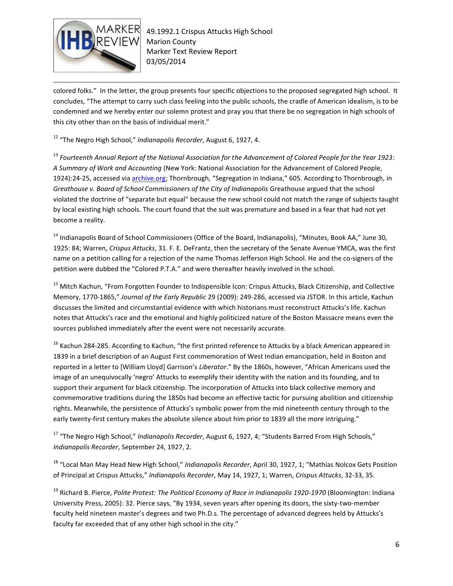

 $\overline{\phantom{a}}$ colored folks." In the letter, the group presents four specific objections to the proposed segregated high school. It concludes, "The attempt to carry such class feeling into the public schools, the cradle of American idealism, is to be condemned and we hereby enter our solemn protest and pray you that there be no segregation in high schools of this city other than on the basis of individual merit."

<sup>12</sup> "The Negro High School," *Indianapolis Recorder*, August 6, 1927, 4.

<sup>13</sup> *Fourteenth Annual Report of the National Association for the Advancement of Colored People for the Year 1923: A Summary of Work and Accounting* (New York: National Association for the Advancement of Colored People, 1924):24-25, accessed vi[a archive.org;](https://archive.org/stream/naacpannualrepor1923nati#page/n3/mode/2up) Thornbrough, "Segregation in Indiana," 605. According to Thornbrough, in *Greathouse v. Board of School Commissioners of the City of Indianapolis* Greathouse argued that the school violated the doctrine of "separate but equal" because the new school could not match the range of subjects taught by local existing high schools. The court found that the suit was premature and based in a fear that had not yet become a reality.

<sup>14</sup> Indianapolis Board of School Commissioners (Office of the Board, Indianapolis), "Minutes, Book AA," June 30, 1925: 84; Warren, *Crispus Attucks*, 31. F. E. DeFrantz, then the secretary of the Senate Avenue YMCA, was the first name on a petition calling for a rejection of the name Thomas Jefferson High School. He and the co-signers of the petition were dubbed the "Colored P.T.A." and were thereafter heavily involved in the school.

<sup>15</sup> Mitch Kachun, "From Forgotten Founder to Indispensible Icon: Crispus Attucks, Black Citizenship, and Collective Memory, 1770-1865," *Journal of the Early Republic* 29 (2009): 249-286, accessed via JSTOR. In this article, Kachun discusses the limited and circumstantial evidence with which historians must reconstruct Attucks's life. Kachun notes that Attucks's race and the emotional and highly politicized nature of the Boston Massacre means even the sources published immediately after the event were not necessarily accurate.

<sup>16</sup> Kachun 284-285. According to Kachun, "the first printed reference to Attucks by a black American appeared in 1839 in a brief description of an August First commemoration of West Indian emancipation, held in Boston and reported in a letter to [William Lloyd] Garrison's *Liberator*." By the 1860s, however, "African Americans used the image of an unequivocally 'negro' Attucks to exemplify their identity with the nation and its founding, and to support their argument for black citizenship. The incorporation of Attucks into black collective memory and commemorative traditions during the 1850s had become an effective tactic for pursuing abolition and citizenship rights. Meanwhile, the persistence of Attucks's symbolic power from the mid nineteenth century through to the early twenty-first century makes the absolute silence about him prior to 1839 all the more intriguing."

<sup>17</sup> "The Negro High School," *Indianapolis Recorder*, August 6, 1927, 4; "Students Barred From High Schools," *Indianapolis Recorder*, September 24, 1927, 2.

<sup>18</sup> "Local Man May Head New High School," *Indianapolis Recorder*, April 30, 1927, 1; "Mathias Nolcox Gets Position of Principal at Crispus Attucks," *Indianapolis Recorder*, May 14, 1927, 1; Warren, *Crispus Attucks*, 32-33, 35.

<sup>19</sup> Richard B. Pierce, *Polite Protest: The Political Economy of Race in Indianapolis 1920-1970* (Bloomington: Indiana University Press, 2005): 32. Pierce says, "By 1934, seven years after opening its doors, the sixty-two-member faculty held nineteen master's degrees and two Ph.D.s. The percentage of advanced degrees held by Attucks's faculty far exceeded that of any other high school in the city."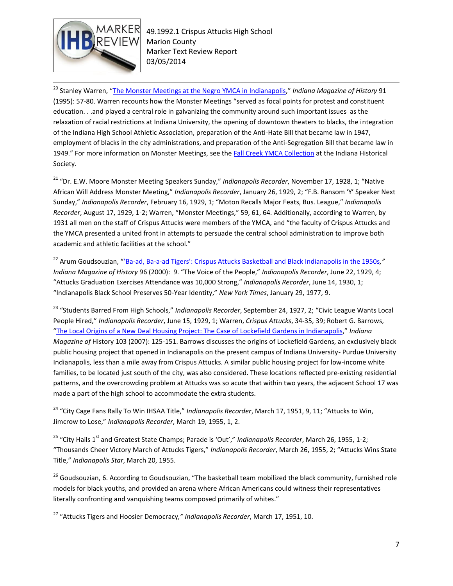

 $\overline{\phantom{a}}$ <sup>20</sup> Stanley Warren, "<u>[The Monster Meetings at the Negro YMCA in Indianapolis](http://webapp1.dlib.indiana.edu/imh/view.do?docId=VAA4025-091-1-a06)</u>," *Indiana Magazine of History* 91 (1995): 57-80. Warren recounts how the Monster Meetings "served as focal points for protest and constituent education. . .and played a central role in galvanizing the community around such important issues as the relaxation of racial restrictions at Indiana University, the opening of downtown theaters to blacks, the integration of the Indiana High School Athletic Association, preparation of the Anti-Hate Bill that became law in 1947, employment of blacks in the city administrations, and preparation of the Anti-Segregation Bill that became law in 1949." For more information on Monster Meetings, see the [Fall Creek YMCA Collection](http://www.indianahistory.org/our-collections/collection-guides/fall-creek-ymca-collection-1923-2002.pdf) at the Indiana Historical Society.

<sup>21</sup> "Dr. E.W. Moore Monster Meeting Speakers Sunday," *Indianapolis Recorder*, November 17, 1928, 1; "Native African Will Address Monster Meeting," *Indianapolis Recorder*, January 26, 1929, 2; "F.B. Ransom 'Y' Speaker Next Sunday," *Indianapolis Recorder*, February 16, 1929, 1; "Moton Recalls Major Feats, Bus. League," *Indianapolis Recorder*, August 17, 1929, 1-2; Warren, "Monster Meetings," 59, 61, 64. Additionally, according to Warren, by 1931 all men on the staff of Crispus Attucks were members of the YMCA, and "the faculty of Crispus Attucks and the YMCA presented a united front in attempts to persuade the central school administration to improve both academic and athletic facilities at the school."

<sup>22</sup> Arum Goudsouzian, "'Ba-ad, Ba-a-[ad Tigers': Crispus Attucks Basketball and Black Indianapolis in the 1950s](http://webapp1.dlib.indiana.edu/imh/view.do?docId=VAA4025-096-1-a02)*," Indiana Magazine of History* 96 (2000): 9. "The Voice of the People," *Indianapolis Recorder*, June 22, 1929, 4; "Attucks Graduation Exercises Attendance was 10,000 Strong," *Indianapolis Recorder*, June 14, 1930, 1; "Indianapolis Black School Preserves 50-Year Identity," *New York Times*, January 29, 1977, 9.

<sup>23</sup> "Students Barred From High Schools," *Indianapolis Recorder*, September 24, 1927, 2; "Civic League Wants Local People Hired," *Indianapolis Recorder*, June 15, 1929, 1; Warren, *Crispus Attucks*, 34-35, 39; Robert G. Barrows, "[The Local Origins of a New Deal Housing Project: The Case of](http://webapp1.dlib.indiana.edu/imh/view.do?docId=VAA4025-103-2-a01) Lockefield Gardens in Indianapolis," *Indiana Magazine of* History 103 (2007): 125-151. Barrows discusses the origins of Lockefield Gardens, an exclusively black public housing project that opened in Indianapolis on the present campus of Indiana University- Purdue University Indianapolis, less than a mile away from Crispus Attucks. A similar public housing project for low-income white families, to be located just south of the city, was also considered. These locations reflected pre-existing residential patterns, and the overcrowding problem at Attucks was so acute that within two years, the adjacent School 17 was made a part of the high school to accommodate the extra students.

<sup>24</sup> "City Cage Fans Rally To Win IHSAA Title," *Indianapolis Recorder*, March 17, 1951, 9, 11; "Attucks to Win, Jimcrow to Lose," *Indianapolis Recorder*, March 19, 1955, 1, 2.

<sup>25</sup> "City Hails 1<sup>st</sup> and Greatest State Champs; Parade is 'Out'," *Indianapolis Recorder*, March 26, 1955, 1-2; "Thousands Cheer Victory March of Attucks Tigers," *Indianapolis Recorder*, March 26, 1955, 2; "Attucks Wins State Title," *Indianapolis Star*, March 20, 1955.

<sup>26</sup> Goudsouzian, 6. According to Goudsouzian, "The basketball team mobilized the black community, furnished role models for black youths, and provided an arena where African Americans could witness their representatives literally confronting and vanquishing teams composed primarily of whites."

<sup>27</sup> "Attucks Tigers and Hoosier Democracy*," Indianapolis Recorder*, March 17, 1951, 10.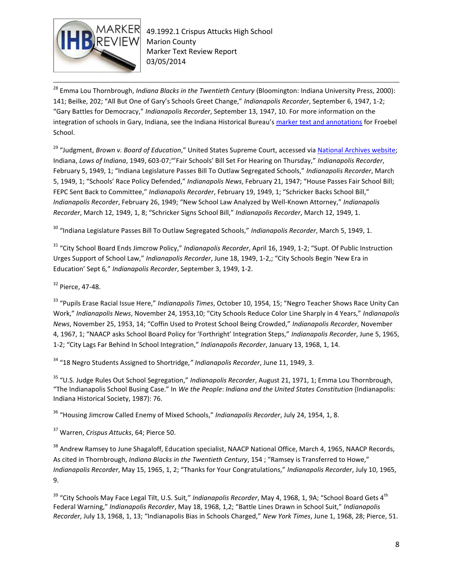

 $\overline{\phantom{a}}$ 

<sup>28</sup> Emma Lou Thornbrough, *Indiana Blacks in the Twentieth Century* (Bloomington: Indiana University Press, 2000): 141; Beilke, 202; "All But One of Gary's Schools Greet Change," *Indianapolis Recorder*, September 6, 1947, 1-2; "Gary Battles for Democracy," *Indianapolis Recorder*, September 13, 1947, 10. For more information on the integration of schools in Gary, Indiana, see the Indiana Historical Bureau's [marker text and annotations](file://iotnasp01pw.shared.state.in.us/IHB/Shared/Markers/Marker%20Applications/2012%20applications%20081612/12.04.5%20FroebelSchool/Text/FroebelTxtNotesFINAL010914.doc) for Froebel School.

<sup>29</sup> "Judgment, *Brown v. Board of Education*," United States Supreme Court, accessed via **National Archives website**; Indiana, *Laws of Indiana*, 1949, 603-07;"'Fair Schools' Bill Set For Hearing on Thursday," *Indianapolis Recorder*, February 5, 1949, 1; "Indiana Legislature Passes Bill To Outlaw Segregated Schools," *Indianapolis Recorder*, March 5, 1949, 1; "Schools' Race Policy Defended," *Indianapolis News*, February 21, 1947; "House Passes Fair School Bill; FEPC Sent Back to Committee," *Indianapolis Recorder*, February 19, 1949, 1; "Schricker Backs School Bill," *Indianapolis Recorder*, February 26, 1949; "New School Law Analyzed by Well-Known Attorney," *Indianapolis Recorder*, March 12, 1949, 1, 8; "Schricker Signs School Bill," *Indianapolis Recorder*, March 12, 1949, 1.

<sup>30</sup> "Indiana Legislature Passes Bill To Outlaw Segregated Schools," *Indianapolis Recorder*, March 5, 1949, 1.

<sup>31</sup> "City School Board Ends Jimcrow Policy," *Indianapolis Recorder*, April 16, 1949, 1-2; "Supt. Of Public Instruction Urges Support of School Law," *Indianapolis Recorder*, June 18, 1949, 1-2,; "City Schools Begin 'New Era in Education' Sept 6*,*" *Indianapolis Recorder*, September 3, 1949, 1-2.

<sup>32</sup> Pierce, 47-48.

<sup>33</sup> "Pupils Erase Racial Issue Here," *Indianapolis Times*, October 10, 1954, 15; "Negro Teacher Shows Race Unity Can Work," *Indianapolis News*, November 24, 1953,10; "City Schools Reduce Color Line Sharply in 4 Years," *Indianapolis News*, November 25, 1953, 14; "Coffin Used to Protest School Being Crowded," *Indianapolis Recorder*, November 4, 1967, 1; "NAACP asks School Board Policy for 'Forthright' Integration Steps," *Indianapolis Recorder*, June 5, 1965, 1-2; "City Lags Far Behind In School Integration," *Indianapolis Recorder*, January 13, 1968, 1, 14.

<sup>34</sup> "18 Negro Students Assigned to Shortridge*," Indianapolis Recorder*, June 11, 1949, 3.

<sup>35</sup> "U.S. Judge Rules Out School Segregation," *Indianapolis Recorder*, August 21, 1971, 1; Emma Lou Thornbrough, "The Indianapolis School Busing Case." In *We the People*: *Indiana and the United States Constitution* (Indianapolis: Indiana Historical Society, 1987): 76.

<sup>36</sup> "Housing Jimcrow Called Enemy of Mixed Schools," *Indianapolis Recorder*, July 24, 1954, 1, 8.

<sup>37</sup> Warren, *Crispus Attucks*, 64; Pierce 50.

<sup>38</sup> Andrew Ramsey to June Shagaloff, Education specialist, NAACP National Office, March 4, 1965, NAACP Records, As cited in Thornbrough, *Indiana Blacks in the Twentieth Century*, 154 ; "Ramsey is Transferred to Howe," *Indianapolis Recorder*, May 15, 1965, 1, 2; "Thanks for Your Congratulations," *Indianapolis Recorder*, July 10, 1965, 9.

<sup>39</sup> "City Schools May Face Legal Tilt, U.S. Suit," *Indianapolis Recorder*, May 4, 1968, 1, 9A; "School Board Gets 4<sup>th</sup> Federal Warning," *Indianapolis Recorder*, May 18, 1968, 1,2; "Battle Lines Drawn in School Suit," *Indianapolis Recorder*, July 13, 1968, 1, 13; "Indianapolis Bias in Schools Charged," *New York Times*, June 1, 1968, 28; Pierce, 51.